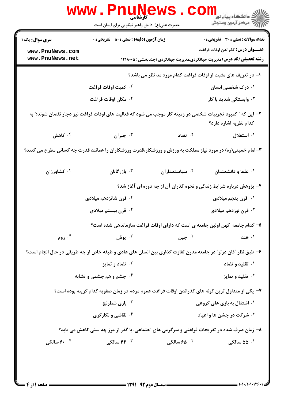|                                    | www.PnuNews<br>حضرت علی(ع): دانش راهبر نیکویی برای ایمان است                                                |                                                                             | ڪ دانشڪاه پيا <sub>م</sub> نور<br><mark>√</mark> مرڪز آزمون وسنڊش                                                                 |
|------------------------------------|-------------------------------------------------------------------------------------------------------------|-----------------------------------------------------------------------------|-----------------------------------------------------------------------------------------------------------------------------------|
| <b>سری سوال :</b> یک ۱             | <b>زمان آزمون (دقیقه) : تستی : 50 ٪ تشریحی : 0</b>                                                          |                                                                             | <b>تعداد سوالات : تستی : 30 ٪ تشریحی : 0</b>                                                                                      |
| www.PnuNews.com<br>www.PnuNews.net |                                                                                                             |                                                                             | <b>عنـــوان درس:</b> گذراندن اوقات فراغت<br><b>رشته تحصیلی/کد درس:</b> مدیریت جهانگردی،مدیریت جهانگردی (چندبخشی )۱۲۱۸۰۰۵ <b>(</b> |
|                                    |                                                                                                             | ا- در تعریف های مثبت از اوقات فراغت کدام مورد مد نظر می باشد؟               |                                                                                                                                   |
|                                    | ۰۲ کمیت اوقات فراغت                                                                                         |                                                                             | ۰۱ درک شخصی انسان                                                                                                                 |
|                                    | ۰۴ مکان اوقات فراغت                                                                                         |                                                                             | ۰ <sup>۳</sup> وابستگی شدید با کار                                                                                                |
|                                    | ۲– این که ″ کمبود تجربیات شخصی در زمینه کار موجب می شود که فعالیت های اوقات فراغت نیز دچار نقصان شوند؛″ به  |                                                                             | کدام نظریه اشاره دارد؟                                                                                                            |
| کاهش $\cdot$ <sup>۴</sup>          | جبران $\cdot$                                                                                               | تضاد $^{-1}$                                                                | ۰۱ استقلال                                                                                                                        |
|                                    | ۳- امام خمینی(ره) در مورد نیاز مملکت به ورزش و ورزشکار،قدرت ورزشکاران را همانند قدرت چه کسانی مطرح می کنند؟ |                                                                             |                                                                                                                                   |
| ۰۴ کشاورزان                        | ا بازرگانان $\cdot$                                                                                         | ۰ <sup>۲</sup> سیاستمداران                                                  | ۰۱ علما و دانشمندان                                                                                                               |
|                                    | ۴- پژوهش درباره شرایط زندگی و نحوه گذران آن از چه دوره ای آغاز شد؟                                          |                                                                             |                                                                                                                                   |
|                                    | ۰ <sup>۲</sup> قرن شانزدهم میلادی                                                                           |                                                                             | ۰۱ قرن پنجم میلادی                                                                                                                |
|                                    | ۰ <sup>۴</sup> قرن بیستم میلادی                                                                             |                                                                             | قرن نوزدهم میلادی $\cdot$ "                                                                                                       |
|                                    |                                                                                                             | ۵– کدام جامعه کهن اولین جامعه ی است که دارای اوقات فراغت سازماندهی شده است؟ |                                                                                                                                   |
| ۰۴ روم                             | يونان "                                                                                                     | ۰۲ چين                                                                      | ۰۱ هند                                                                                                                            |
|                                    | ۶- طبق نظر ″فان درلو″ در جامعه مدرن تفاوت گذاری بین انسان های عادی و طبقه خاص از چه طریقی در حال انجام است؟ |                                                                             |                                                                                                                                   |
|                                    | <b>10 تضاد و تمایز</b>                                                                                      |                                                                             | ۰۱ تقلید و تضاد                                                                                                                   |
| ۰۴ چشم و هم چشمی و تشابه           |                                                                                                             |                                                                             | تقلید و تمایز $\cdot$                                                                                                             |
|                                    | ۷– یکی از متداول ترین گونه های گذراندن اوقات فراغت عموم مردم در زمان صفویه کدام گزینه بوده است؟             |                                                                             |                                                                                                                                   |
|                                    | <b>10 بازی شطرنج</b>                                                                                        | ۰۱ اشتغال به بازی های گروهی                                                 |                                                                                                                                   |
|                                    | <b>۴ نقاشی و نگارگری</b>                                                                                    |                                                                             | <b>4 . شرکت در جشن ها و اعیاد</b>                                                                                                 |
|                                    | ۸- زمان صرف شده در تفریحات فراغتی و سرگرمی های اجتماعی، با گذر از مرز چه سنی کاهش می یابد؟                  |                                                                             |                                                                                                                                   |
|                                    |                                                                                                             | ۰۲ ۶۵ سالگی                                                                 | ۰۱ ۵۵ سالگی                                                                                                                       |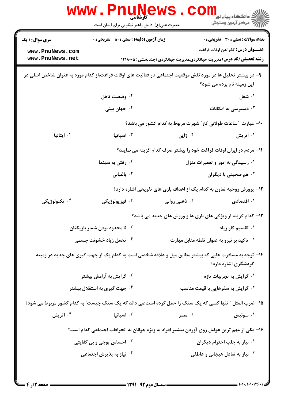|                                                                                                                                            | <b>www.Pnur</b><br>کارشناسی<br>حضرت علی(ع): دانش راهبر نیکویی برای ایمان است                          |                                                                                       | دانشگاه پيام نور <mark>∐ .</mark><br>√<br>√ مرکز آزمون وسنجش |  |
|--------------------------------------------------------------------------------------------------------------------------------------------|-------------------------------------------------------------------------------------------------------|---------------------------------------------------------------------------------------|--------------------------------------------------------------|--|
| <b>سری سوال : ۱ یک</b>                                                                                                                     | <b>زمان آزمون (دقیقه) : تستی : 50 ٪ تشریحی : 0</b>                                                    |                                                                                       | <b>تعداد سوالات : تستی : 30 ٪ تشریحی : 0</b>                 |  |
| www.PnuNews.com<br>www.PnuNews.net                                                                                                         |                                                                                                       | <b>رشته تحصیلی/کد درس:</b> مدیریت جهانگردی،مدیریت جهانگردی (چندبخشی )۱۲۱۸۰۰۵ <b>(</b> | <b>عنـــوان درس:</b> گذراندن اوقات فراغت                     |  |
| ۹– در بیشتر تحلیل ها در مورد نقش موقعیت اجتماعی در فعالیت های اوقات فراغت،از کدام مورد به عنوان شاخص اصلی در<br>این زمینه نام برده می شود؟ |                                                                                                       |                                                                                       |                                                              |  |
|                                                                                                                                            | ۰ <sup>۲</sup> وضعیت تاهل                                                                             |                                                                                       | ۰۱ شغل                                                       |  |
|                                                                                                                                            | ۰ <sup>۴</sup> جهان بینی                                                                              |                                                                                       | دسترسی به امکانات $\cdot^{\mathsf{y}}$                       |  |
|                                                                                                                                            |                                                                                                       | ∙ا– عبارت ″ساعات طولانی کار″ شهرت مربوط به کدام کشور می باشد؟                         |                                                              |  |
| ۰۴ ایتالیا                                                                                                                                 | اسپانیا $\cdot$ ۳ $\cdot$                                                                             | ۰۲ ژاپن                                                                               | ۰۱ اتریش                                                     |  |
| 11- مردم در ایران اوقات فراغت خود را بیشتر صرف کدام گزینه می نمایند؟                                                                       |                                                                                                       |                                                                                       |                                                              |  |
|                                                                                                                                            | <sup>۰۲</sup> رفتن به سینما                                                                           |                                                                                       | ۰۱ رسیدگی به امور و تعمیرات منزل                             |  |
|                                                                                                                                            | ۰ <sup>۴</sup> باغبانی                                                                                |                                                                                       | هم صحبتی با دیگران $\cdot$                                   |  |
|                                                                                                                                            |                                                                                                       | ۱۲- پرورش روحیه تعاون به کدام یک از اهداف بازی های تفریحی اشاره دارد؟                 |                                                              |  |
| ۰۴ تکنولوژیکی                                                                                                                              | ۰ <sup>۳</sup> فيزيولوژيکي                                                                            | ۰ <sup>۲</sup> ذهنی روانی                                                             | ۰۱ اقتصادی                                                   |  |
|                                                                                                                                            |                                                                                                       | ۱۳- کدام گزینه از ویژگی های بازی ها و ورزش های جدید می باشد؟                          |                                                              |  |
|                                                                                                                                            | نا محدود بودن شمار بازیکنان $\cdot$ ۲                                                                 |                                                                                       | ۰۱ تقسیم کار زیاد                                            |  |
|                                                                                                                                            | <b>۰۴ تحمل زیاد خشونت جسمی</b>                                                                        | ا تاکید بر نیرو به عنوان نقطه مقابل مهارت $\cdot$                                     |                                                              |  |
|                                                                                                                                            | ۱۴- توجه به مسافرت هایی که بیشتر مطابق میل و علاقه شخصی است به کدام یک از جهت گیری های جدید در زمینه  |                                                                                       | گردشگری اشاره دارد؟                                          |  |
|                                                                                                                                            | ۰ <sup>۲</sup> گرایش به آرامش بیشتر                                                                   | ۰۱ گرایش به تجربیات تازه                                                              |                                                              |  |
|                                                                                                                                            | ۰ <sup>۴</sup> جهت گیری به استقلال بیشتر                                                              |                                                                                       | <b>۰۳ گرایش به سفرهایی با قیمت مناسب</b>                     |  |
|                                                                                                                                            | ۱۵– ضرب المثل ″ تنها کسی که یک سنگ را حمل کرده است؛می داند که یک سنگ چیست″ به کدام کشور مربوط می شود؟ |                                                                                       |                                                              |  |
| ۰۴ اتریش                                                                                                                                   | اسپانیا $\cdot$ "                                                                                     | ۰۲ مصر                                                                                | ۰۱ سوئیس                                                     |  |
|                                                                                                                                            | ۱۶– یکی از مهم ترین عوامل روی آوردن بیشتر افراد به ویژه جوانان به انحرافات اجتماعی کدام است؟          |                                                                                       |                                                              |  |
|                                                                                                                                            | ۰ <sup>۲</sup> احساس پوچی و بی کفایتی                                                                 | ۰۱ نیاز به جلب احترام دیگران                                                          |                                                              |  |
|                                                                                                                                            | ۰ <sup>۴</sup> نیاز به پذیرش اجتماعی                                                                  |                                                                                       | نیاز به تعادل هیجانی و عاطفی $\cdot^{\textsf{\tiny{T}}}$     |  |
|                                                                                                                                            |                                                                                                       |                                                                                       |                                                              |  |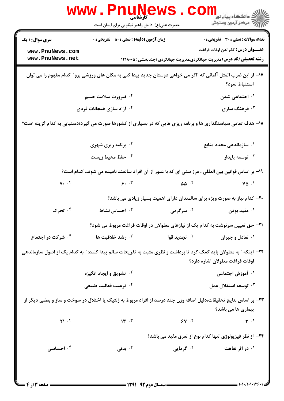|                                                                                                                                                       | <b>www.Pnunews</b><br>حضرت علی(ع): دانش راهبر نیکویی برای ایمان است                                |                          | دانشگاه پیام نور<br>ا <mark>∜</mark> مرکز آزمهن وسنجش                                                                                                                    |  |  |
|-------------------------------------------------------------------------------------------------------------------------------------------------------|----------------------------------------------------------------------------------------------------|--------------------------|--------------------------------------------------------------------------------------------------------------------------------------------------------------------------|--|--|
| <b>سری سوال : ۱ یک</b><br>www.PnuNews.com<br>www.PnuNews.net                                                                                          | <b>زمان آزمون (دقیقه) : تستی : 50 ٪ تشریحی : 0</b>                                                 |                          | <b>تعداد سوالات : تستی : 30 ٪ تشریحی : 0</b><br><b>عنـــوان درس:</b> گذراندن اوقات فراغت<br><b>رشته تحصیلی/کد درس:</b> مدیریت جهانگردی،مدیریت جهانگردی (چندبخشی )۱۲۱۸۰۰۵ |  |  |
| ۱۷– از این ضرب المثل آلمانی که "اگر می خواهی دوستان جدید پیدا کنی به مکان های ورزشی برو" کدام مفهوم را می توان<br>استنباط نمود؟                       |                                                                                                    |                          |                                                                                                                                                                          |  |  |
|                                                                                                                                                       | <b>7 . ضرورت سلامت جسم</b>                                                                         |                          | ۰۱ اجتماعی شدن                                                                                                                                                           |  |  |
| ۰۴ آزاد سازی هیجانات فردی                                                                                                                             |                                                                                                    |                          | ۰۳ فرهنگ سازی                                                                                                                                                            |  |  |
| ۱۸- هدف تمامی سیاستگذاری ها و برنامه ریزی هایی که در بسیاری از کشورها صورت می گیرد؛دستیابی به کدام گزینه است؟                                         |                                                                                                    |                          |                                                                                                                                                                          |  |  |
|                                                                                                                                                       | <sup>۲</sup> ۰ برنامه ریزی شهری                                                                    |                          | ۰۱ سازماندهی مجدد منابع                                                                                                                                                  |  |  |
|                                                                                                                                                       | ۰۴ حفظ محیط زیست                                                                                   |                          | ۰ <sup>۳</sup> توسعه پایدار                                                                                                                                              |  |  |
|                                                                                                                                                       | ۱۹- بر اساس قوانین بین المللی ، مرز سنی ای که با عبور از آن افراد سالمند نامیده می شوند، کدام است؟ |                          |                                                                                                                                                                          |  |  |
| $Y.$ . $f$                                                                                                                                            | 9.7                                                                                                | $\Delta \Delta^{-1}$     | $\sqrt{\Delta}$ .                                                                                                                                                        |  |  |
|                                                                                                                                                       |                                                                                                    |                          | ۲۰- کدام نیاز به صورت ویژه برای سالمندان دارای اهمیت بسیار زیادی می باشد؟                                                                                                |  |  |
| ۰۴ تحرک                                                                                                                                               | احساس نشاط $\cdot$                                                                                 | ۰ <sup>۲</sup> سرگرمی    | ۰۱ مفید بودن                                                                                                                                                             |  |  |
|                                                                                                                                                       | <b>۲۱</b> - حق تعیین سرنوشت به کدام یک از نیازهای معلولان در اوقات فراغت مربوط می شود؟             |                          |                                                                                                                                                                          |  |  |
| ۰۴ شرکت در اجتماع                                                                                                                                     | رشد خلاقیت ها $\cdot^{\mathsf{r}}$                                                                 | ۰ <sup>۲</sup> تجدید قوا | ۰۱ تعادل و جبران                                                                                                                                                         |  |  |
| ۲۲– اینکه ″ به معلولان باید کمک کرد تا برداشت و نظری مثبت به تفریحات سالم پیدا کنند؛″ به کدام یک از اصول سازماندهی<br>اوقات فراغت معلولان اشاره دارد؟ |                                                                                                    |                          |                                                                                                                                                                          |  |  |
|                                                                                                                                                       | <b>10 تشويق و ايجاد انگيزه</b>                                                                     |                          | ۰۱ آموزش اجتماعی                                                                                                                                                         |  |  |
|                                                                                                                                                       | ۰ <sup>۴</sup> ترغيب فعاليت طبيعي                                                                  |                          | ۰ <sup>۳</sup> توسعه استقلال عمل                                                                                                                                         |  |  |
| ۲۳- بر اساس نتایج تحقیقات،دلیل اضافه وزن چند درصد از افراد مربوط به ژنتیک یا اختلال در سوخت و ساز و بعضی دیگر از<br>بیماری ها می باشد؟                |                                                                                                    |                          |                                                                                                                                                                          |  |  |
| Y1.5                                                                                                                                                  | $\mathcal{W}$ .                                                                                    | $50 - 50$                | $\uparrow \cdot$                                                                                                                                                         |  |  |
|                                                                                                                                                       |                                                                                                    |                          | ۲۴- از نظر فیزیولوژی تنها کدام نوع از تعرق مفید می باشد؟                                                                                                                 |  |  |
| ۰۴ احساسی                                                                                                                                             | بدنی $\cdot$ ۳ $\cdot$                                                                             | <sup>۲.</sup> گرمایی     | ۰۱ در اثر نقاهت                                                                                                                                                          |  |  |